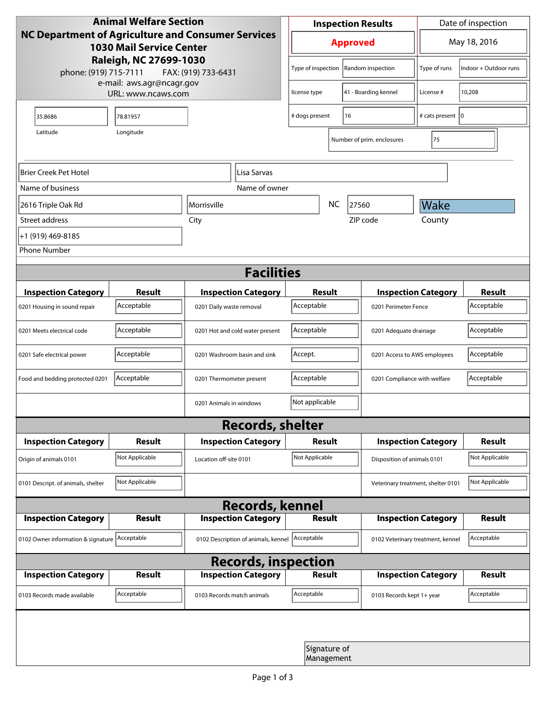| <b>Animal Welfare Section</b>                                                                                                                                          |                |                                     |                      | <b>Inspection Results</b>               |                            |                           | Date of inspection                                 |                |  |
|------------------------------------------------------------------------------------------------------------------------------------------------------------------------|----------------|-------------------------------------|----------------------|-----------------------------------------|----------------------------|---------------------------|----------------------------------------------------|----------------|--|
| <b>NC Department of Agriculture and Consumer Services</b><br><b>1030 Mail Service Center</b><br>Raleigh, NC 27699-1030<br>phone: (919) 715-7111<br>FAX: (919) 733-6431 |                |                                     | <b>Approved</b>      |                                         |                            | May 18, 2016              |                                                    |                |  |
|                                                                                                                                                                        |                |                                     |                      | Type of inspection<br>Random inspection |                            | Type of runs              | Indoor + Outdoor runs                              |                |  |
| e-mail: aws.agr@ncagr.gov<br>URL: www.ncaws.com                                                                                                                        |                |                                     |                      | license type                            |                            | 41 - Boarding kennel      | License #                                          | 10,208         |  |
| 35.8686                                                                                                                                                                | 78.81957       |                                     | 16<br># dogs present |                                         |                            |                           | # cats present   0                                 |                |  |
| Longitude<br>Latitude                                                                                                                                                  |                |                                     |                      |                                         | Number of prim. enclosures |                           |                                                    |                |  |
| Brier Creek Pet Hotel<br>Lisa Sarvas                                                                                                                                   |                |                                     |                      |                                         |                            |                           |                                                    |                |  |
| Name of business                                                                                                                                                       |                | Name of owner                       |                      |                                         |                            |                           |                                                    |                |  |
| 2616 Triple Oak Rd                                                                                                                                                     |                | Morrisville                         |                      | <b>NC</b>                               | 27560                      | Wake                      |                                                    |                |  |
| Street address                                                                                                                                                         | City           |                                     |                      |                                         |                            | ZIP code                  | County                                             |                |  |
| +1 (919) 469-8185                                                                                                                                                      |                |                                     |                      |                                         |                            |                           |                                                    |                |  |
| <b>Phone Number</b>                                                                                                                                                    |                |                                     |                      |                                         |                            |                           |                                                    |                |  |
| <b>Facilities</b>                                                                                                                                                      |                |                                     |                      |                                         |                            |                           |                                                    |                |  |
| <b>Inspection Category</b>                                                                                                                                             | <b>Result</b>  | <b>Inspection Category</b>          |                      | <b>Result</b>                           |                            |                           |                                                    | <b>Result</b>  |  |
| 0201 Housing in sound repair                                                                                                                                           | Acceptable     | 0201 Daily waste removal            |                      | Acceptable                              |                            |                           | <b>Inspection Category</b><br>0201 Perimeter Fence |                |  |
| 0201 Meets electrical code                                                                                                                                             | Acceptable     | 0201 Hot and cold water present     |                      | Acceptable                              |                            |                           | 0201 Adequate drainage                             |                |  |
| 0201 Safe electrical power                                                                                                                                             | Acceptable     | 0201 Washroom basin and sink        |                      | Accept.                                 |                            |                           | 0201 Access to AWS employees                       |                |  |
| Food and bedding protected 0201                                                                                                                                        | Acceptable     | 0201 Thermometer present            |                      | Acceptable                              |                            |                           | 0201 Compliance with welfare                       |                |  |
|                                                                                                                                                                        |                | 0201 Animals in windows             |                      | Not applicable                          |                            |                           |                                                    |                |  |
| <b>Records, shelter</b>                                                                                                                                                |                |                                     |                      |                                         |                            |                           |                                                    |                |  |
| <b>Inspection Category</b>                                                                                                                                             | <b>Result</b>  | <b>Inspection Category</b>          |                      | Result                                  |                            |                           | <b>Inspection Category</b>                         | <b>Result</b>  |  |
| Origin of animals 0101                                                                                                                                                 | Not Applicable | Location off-site 0101              |                      | Not Applicable                          |                            |                           | Disposition of animals 0101                        |                |  |
| 0101 Descript. of animals, shelter                                                                                                                                     | Not Applicable |                                     |                      |                                         |                            |                           | Veterinary treatment, shelter 0101                 | Not Applicable |  |
| <b>Records, kennel</b>                                                                                                                                                 |                |                                     |                      |                                         |                            |                           |                                                    |                |  |
| <b>Inspection Category</b>                                                                                                                                             | Result         | <b>Inspection Category</b>          |                      | <b>Result</b>                           |                            |                           | <b>Inspection Category</b>                         | Result         |  |
| 0102 Owner information & signature Acceptable                                                                                                                          |                | 0102 Description of animals, kennel |                      | Acceptable                              |                            |                           | 0102 Veterinary treatment, kennel                  | Acceptable     |  |
| <b>Records, inspection</b>                                                                                                                                             |                |                                     |                      |                                         |                            |                           |                                                    |                |  |
| <b>Inspection Category</b>                                                                                                                                             | <b>Result</b>  | <b>Inspection Category</b>          |                      | <b>Result</b>                           |                            |                           | <b>Inspection Category</b>                         | <b>Result</b>  |  |
| 0103 Records made available                                                                                                                                            | Acceptable     | 0103 Records match animals          |                      | Acceptable                              |                            | 0103 Records kept 1+ year |                                                    | Acceptable     |  |
|                                                                                                                                                                        |                |                                     |                      |                                         |                            |                           |                                                    |                |  |
|                                                                                                                                                                        |                |                                     |                      | Signature of<br>Management              |                            |                           |                                                    |                |  |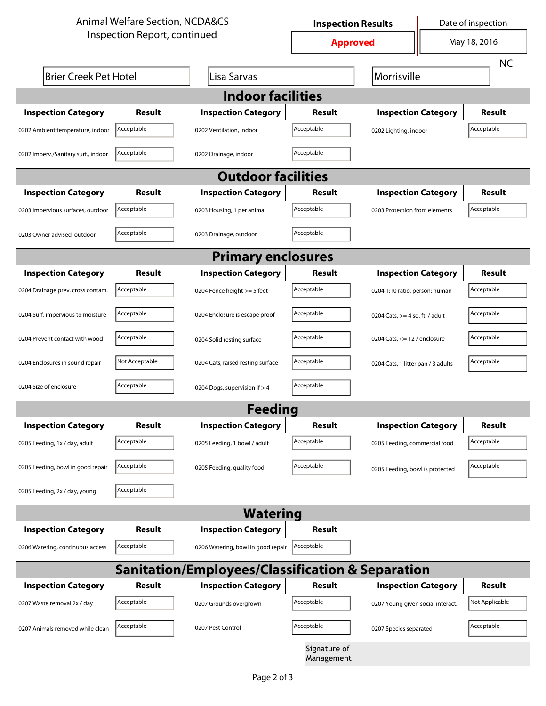| <b>Animal Welfare Section, NCDA&amp;CS</b>                  |                |                                    | <b>Inspection Results</b>  |                                     | Date of inspection |                |  |  |  |
|-------------------------------------------------------------|----------------|------------------------------------|----------------------------|-------------------------------------|--------------------|----------------|--|--|--|
| Inspection Report, continued                                |                |                                    | <b>Approved</b>            |                                     | May 18, 2016       |                |  |  |  |
|                                                             |                |                                    |                            |                                     |                    | <b>NC</b>      |  |  |  |
| <b>Brier Creek Pet Hotel</b>                                |                | Lisa Sarvas                        |                            |                                     |                    | Morrisville    |  |  |  |
| <b>Indoor facilities</b>                                    |                |                                    |                            |                                     |                    |                |  |  |  |
| <b>Inspection Category</b>                                  | Result         | <b>Inspection Category</b>         | Result                     | <b>Inspection Category</b>          |                    | <b>Result</b>  |  |  |  |
| 0202 Ambient temperature, indoor                            | Acceptable     | 0202 Ventilation, indoor           | Acceptable                 | Acceptable<br>0202 Lighting, indoor |                    |                |  |  |  |
| 0202 Imperv./Sanitary surf., indoor                         | Acceptable     | 0202 Drainage, indoor              | Acceptable                 |                                     |                    |                |  |  |  |
| <b>Outdoor facilities</b>                                   |                |                                    |                            |                                     |                    |                |  |  |  |
| <b>Inspection Category</b>                                  | <b>Result</b>  | <b>Inspection Category</b>         | Result                     | <b>Inspection Category</b>          |                    | <b>Result</b>  |  |  |  |
| 0203 Impervious surfaces, outdoor                           | Acceptable     | 0203 Housing, 1 per animal         | Acceptable                 | 0203 Protection from elements       |                    | Acceptable     |  |  |  |
| 0203 Owner advised, outdoor                                 | Acceptable     | 0203 Drainage, outdoor             | Acceptable                 |                                     |                    |                |  |  |  |
| <b>Primary enclosures</b>                                   |                |                                    |                            |                                     |                    |                |  |  |  |
| <b>Inspection Category</b>                                  | Result         | <b>Inspection Category</b>         | Result                     | <b>Inspection Category</b>          |                    | <b>Result</b>  |  |  |  |
| 0204 Drainage prev. cross contam.                           | Acceptable     | 0204 Fence height >= 5 feet        | Acceptable                 | 0204 1:10 ratio, person: human      |                    | Acceptable     |  |  |  |
| 0204 Surf. impervious to moisture                           | Acceptable     | 0204 Enclosure is escape proof     | Acceptable                 | 0204 Cats, $>=$ 4 sq. ft. / adult   |                    | Acceptable     |  |  |  |
| 0204 Prevent contact with wood                              | Acceptable     | 0204 Solid resting surface         | Acceptable                 | 0204 Cats, $<= 12$ / enclosure      |                    | Acceptable     |  |  |  |
| 0204 Enclosures in sound repair                             | Not Acceptable | 0204 Cats, raised resting surface  | Acceptable                 | 0204 Cats, 1 litter pan / 3 adults  |                    | Acceptable     |  |  |  |
| 0204 Size of enclosure                                      | Acceptable     | 0204 Dogs, supervision if > 4      | Acceptable                 |                                     |                    |                |  |  |  |
|                                                             |                | <b>Feeding</b>                     |                            |                                     |                    |                |  |  |  |
| <b>Inspection Category</b>                                  | <b>Result</b>  | <b>Inspection Category</b>         | <b>Result</b>              | <b>Inspection Category</b>          |                    | <b>Result</b>  |  |  |  |
| 0205 Feeding, 1x / day, adult                               | Acceptable     | 0205 Feeding, 1 bowl / adult       | Acceptable                 | 0205 Feeding, commercial food       |                    | Acceptable     |  |  |  |
| 0205 Feeding, bowl in good repair                           | Acceptable     | 0205 Feeding, quality food         | Acceptable                 | 0205 Feeding, bowl is protected     |                    | Acceptable     |  |  |  |
| 0205 Feeding, 2x / day, young                               | Acceptable     |                                    |                            |                                     |                    |                |  |  |  |
|                                                             |                | <b>Watering</b>                    |                            |                                     |                    |                |  |  |  |
| <b>Inspection Category</b>                                  | <b>Result</b>  | <b>Inspection Category</b>         | Result                     |                                     |                    |                |  |  |  |
| 0206 Watering, continuous access                            | Acceptable     | 0206 Watering, bowl in good repair | Acceptable                 |                                     |                    |                |  |  |  |
| <b>Sanitation/Employees/Classification &amp; Separation</b> |                |                                    |                            |                                     |                    |                |  |  |  |
| <b>Inspection Category</b>                                  | <b>Result</b>  | <b>Inspection Category</b>         | Result                     | <b>Inspection Category</b>          |                    | <b>Result</b>  |  |  |  |
| 0207 Waste removal 2x / day                                 | Acceptable     | 0207 Grounds overgrown             | Acceptable                 | 0207 Young given social interact.   |                    | Not Applicable |  |  |  |
| 0207 Animals removed while clean                            | Acceptable     | 0207 Pest Control                  | Acceptable                 | 0207 Species separated              |                    | Acceptable     |  |  |  |
|                                                             |                |                                    | Signature of<br>Management |                                     |                    |                |  |  |  |